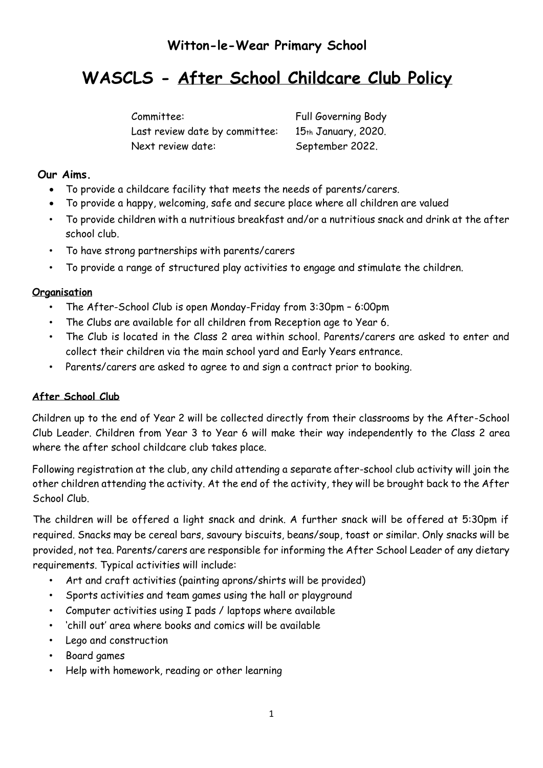# **Witton-le-Wear Primary School**

# **WASCLS - After School Childcare Club Policy**

Last review date by committee: 15th January, 2020. Next review date: September 2022.

Committee: Full Governing Body

# **Our Aims.**

- To provide a childcare facility that meets the needs of parents/carers.
- To provide a happy, welcoming, safe and secure place where all children are valued
- To provide children with a nutritious breakfast and/or a nutritious snack and drink at the after school club.
- To have strong partnerships with parents/carers
- To provide a range of structured play activities to engage and stimulate the children.

# **Organisation**

- The After-School Club is open Monday-Friday from 3:30pm 6:00pm
- The Clubs are available for all children from Reception age to Year 6.
- The Club is located in the Class 2 area within school. Parents/carers are asked to enter and collect their children via the main school yard and Early Years entrance.
- Parents/carers are asked to agree to and sign a contract prior to booking.

# **After School Club**

Children up to the end of Year 2 will be collected directly from their classrooms by the After-School Club Leader. Children from Year 3 to Year 6 will make their way independently to the Class 2 area where the after school childcare club takes place.

Following registration at the club, any child attending a separate after-school club activity will join the other children attending the activity. At the end of the activity, they will be brought back to the After School Club.

The children will be offered a light snack and drink. A further snack will be offered at 5:30pm if required. Snacks may be cereal bars, savoury biscuits, beans/soup, toast or similar. Only snacks will be provided, not tea. Parents/carers are responsible for informing the After School Leader of any dietary requirements. Typical activities will include:

- Art and craft activities (painting aprons/shirts will be provided)
- Sports activities and team games using the hall or playground
- Computer activities using I pads / laptops where available
- 'chill out' area where books and comics will be available
- Lego and construction
- Board games
- Help with homework, reading or other learning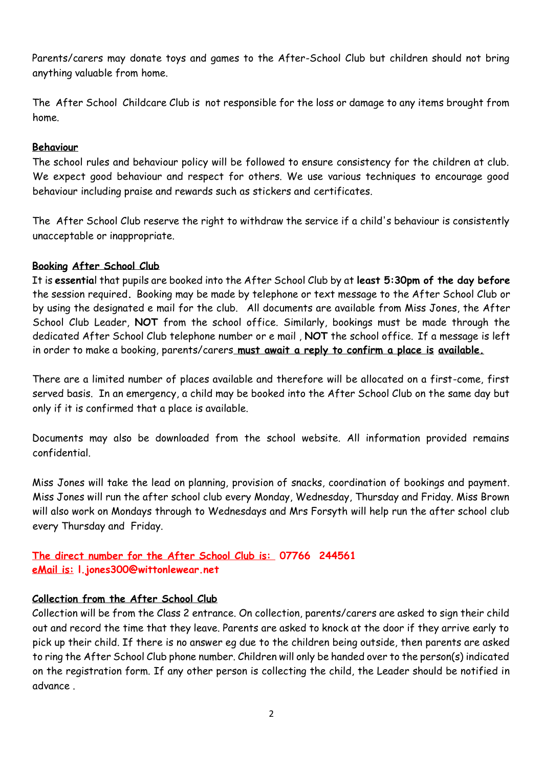Parents/carers may donate toys and games to the After-School Club but children should not bring anything valuable from home.

The After School Childcare Club is not responsible for the loss or damage to any items brought from home.

#### **Behaviour**

The school rules and behaviour policy will be followed to ensure consistency for the children at club. We expect good behaviour and respect for others. We use various techniques to encourage good behaviour including praise and rewards such as stickers and certificates.

The After School Club reserve the right to withdraw the service if a child's behaviour is consistently unacceptable or inappropriate.

#### **Booking After School Club**

It is **essentia**l that pupils are booked into the After School Club by at **least 5:30pm of the day before**  the session required**.** Booking may be made by telephone or text message to the After School Club or by using the designated e mail for the club. All documents are available from Miss Jones, the After School Club Leader, **NOT** from the school office. Similarly, bookings must be made through the dedicated After School Club telephone number or e mail , **NOT** the school office. If a message is left in order to make a booking, parents/carers **must await a reply to confirm a place is available.**

There are a limited number of places available and therefore will be allocated on a first-come, first served basis. In an emergency, a child may be booked into the After School Club on the same day but only if it is confirmed that a place is available.

Documents may also be downloaded from the school website. All information provided remains confidential.

Miss Jones will take the lead on planning, provision of snacks, coordination of bookings and payment. Miss Jones will run the after school club every Monday, Wednesday, Thursday and Friday. Miss Brown will also work on Mondays through to Wednesdays and Mrs Forsyth will help run the after school club every Thursday and Friday.

**The direct number for the After School Club is: 07766 244561 eMail is: l.jones300@wittonlewear.net**

# **Collection from the After School Club**

Collection will be from the Class 2 entrance. On collection, parents/carers are asked to sign their child out and record the time that they leave. Parents are asked to knock at the door if they arrive early to pick up their child. If there is no answer eg due to the children being outside, then parents are asked to ring the After School Club phone number. Children will only be handed over to the person(s) indicated on the registration form. If any other person is collecting the child, the Leader should be notified in advance .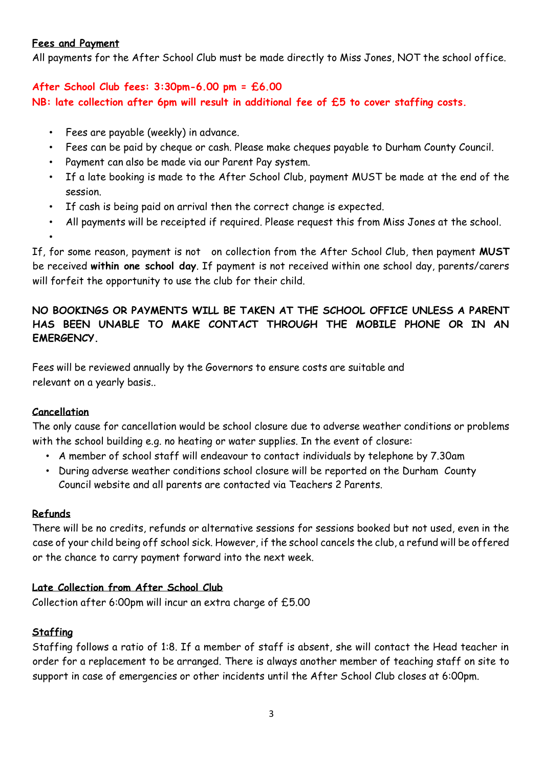#### **Fees and Payment**

All payments for the After School Club must be made directly to Miss Jones, NOT the school office.

# **After School Club fees: 3:30pm-6.00 pm = £6.00 NB: late collection after 6pm will result in additional fee of £5 to cover staffing costs.**

- Fees are payable (weekly) in advance.
- Fees can be paid by cheque or cash. Please make cheques payable to Durham County Council.
- Payment can also be made via our Parent Pay system.
- If a late booking is made to the After School Club, payment MUST be made at the end of the session.
- If cash is being paid on arrival then the correct change is expected.
- All payments will be receipted if required. Please request this from Miss Jones at the school.

If, for some reason, payment is not on collection from the After School Club, then payment **MUST**  be received **within one school day**. If payment is not received within one school day, parents/carers will forfeit the opportunity to use the club for their child.

# **NO BOOKINGS OR PAYMENTS WILL BE TAKEN AT THE SCHOOL OFFICE UNLESS A PARENT HAS BEEN UNABLE TO MAKE CONTACT THROUGH THE MOBILE PHONE OR IN AN EMERGENCY.**

Fees will be reviewed annually by the Governors to ensure costs are suitable and relevant on a yearly basis..

# **Cancellation**

•

The only cause for cancellation would be school closure due to adverse weather conditions or problems with the school building e.g. no heating or water supplies. In the event of closure:

- A member of school staff will endeavour to contact individuals by telephone by 7.30am
- During adverse weather conditions school closure will be reported on the Durham County Council website and all parents are contacted via Teachers 2 Parents.

# **Refunds**

There will be no credits, refunds or alternative sessions for sessions booked but not used, even in the case of your child being off school sick. However, if the school cancels the club, a refund will be offered or the chance to carry payment forward into the next week.

# **Late Collection from After School Club**

Collection after 6:00pm will incur an extra charge of £5.00

# **Staffing**

Staffing follows a ratio of 1:8. If a member of staff is absent, she will contact the Head teacher in order for a replacement to be arranged. There is always another member of teaching staff on site to support in case of emergencies or other incidents until the After School Club closes at 6:00pm.